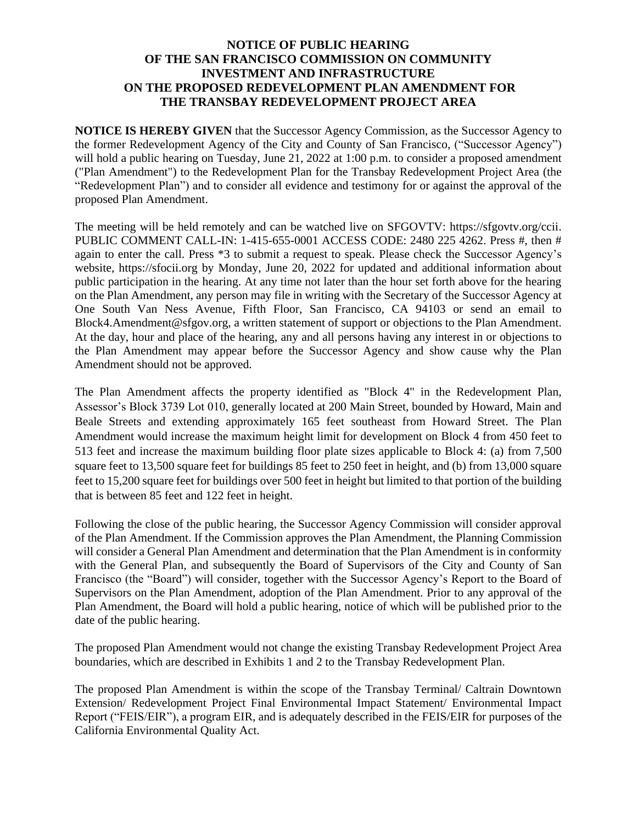## **NOTICE OF PUBLIC HEARING OF THE SAN FRANCISCO COMMISSION ON COMMUNITY INVESTMENT AND INFRASTRUCTURE ON THE PROPOSED REDEVELOPMENT PLAN AMENDMENT FOR THE TRANSBAY REDEVELOPMENT PROJECT AREA**

**NOTICE IS HEREBY GIVEN** that the Successor Agency Commission, as the Successor Agency to the former Redevelopment Agency of the City and County of San Francisco, ("Successor Agency") will hold a public hearing on Tuesday, June 21, 2022 at 1:00 p.m. to consider a proposed amendment ("Plan Amendment") to the Redevelopment Plan for the Transbay Redevelopment Project Area (the "Redevelopment Plan") and to consider all evidence and testimony for or against the approval of the proposed Plan Amendment.

The meeting will be held remotely and can be watched live on SFGOVTV: https://sfgovtv.org/ccii. PUBLIC COMMENT CALL-IN: 1-415-655-0001 ACCESS CODE: 2480 225 4262. Press #, then # again to enter the call. Press \*3 to submit a request to speak. Please check the Successor Agency's website, https://sfocii.org by Monday, June 20, 2022 for updated and additional information about public participation in the hearing. At any time not later than the hour set forth above for the hearing on the Plan Amendment, any person may file in writing with the Secretary of the Successor Agency at One South Van Ness Avenue, Fifth Floor, San Francisco, CA 94103 or send an email to Block4.Amendment@sfgov.org, a written statement of support or objections to the Plan Amendment. At the day, hour and place of the hearing, any and all persons having any interest in or objections to the Plan Amendment may appear before the Successor Agency and show cause why the Plan Amendment should not be approved.

The Plan Amendment affects the property identified as "Block 4" in the Redevelopment Plan, Assessor's Block 3739 Lot 010, generally located at 200 Main Street, bounded by Howard, Main and Beale Streets and extending approximately 165 feet southeast from Howard Street. The Plan Amendment would increase the maximum height limit for development on Block 4 from 450 feet to 513 feet and increase the maximum building floor plate sizes applicable to Block 4: (a) from 7,500 square feet to 13,500 square feet for buildings 85 feet to 250 feet in height, and (b) from 13,000 square feet to 15,200 square feet for buildings over 500 feet in height but limited to that portion of the building that is between 85 feet and 122 feet in height.

Following the close of the public hearing, the Successor Agency Commission will consider approval of the Plan Amendment. If the Commission approves the Plan Amendment, the Planning Commission will consider a General Plan Amendment and determination that the Plan Amendment is in conformity with the General Plan, and subsequently the Board of Supervisors of the City and County of San Francisco (the "Board") will consider, together with the Successor Agency's Report to the Board of Supervisors on the Plan Amendment, adoption of the Plan Amendment. Prior to any approval of the Plan Amendment, the Board will hold a public hearing, notice of which will be published prior to the date of the public hearing.

The proposed Plan Amendment would not change the existing Transbay Redevelopment Project Area boundaries, which are described in Exhibits 1 and 2 to the Transbay Redevelopment Plan.

The proposed Plan Amendment is within the scope of the Transbay Terminal/ Caltrain Downtown Extension/ Redevelopment Project Final Environmental Impact Statement/ Environmental Impact Report ("FEIS/EIR"), a program EIR, and is adequately described in the FEIS/EIR for purposes of the California Environmental Quality Act.